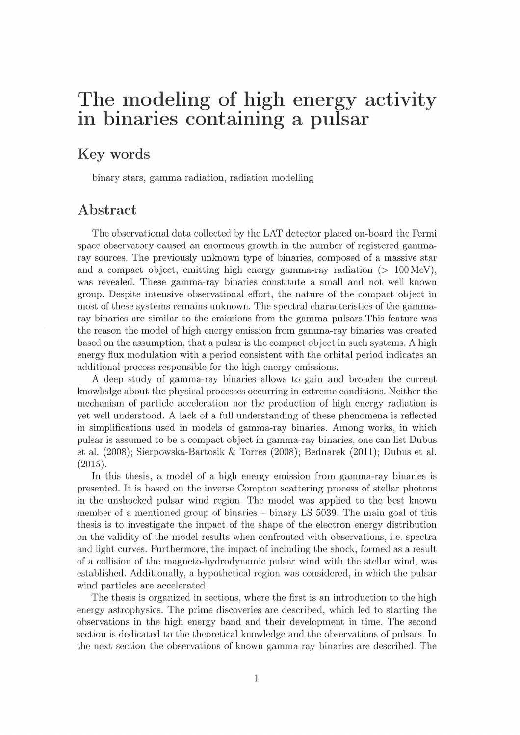## The modeling of high energy activity in binaries containing a pulsar

## Key words

binary stars, gamma radiation, radiation modelling

## Abstract

The observational data collected by the LAT detector placed on-board the Fermi space observatory caused an enormous growth in the number of registered gammaray sources. The previously unknown type of binaries, composed of a massive star and a compact object, emitting high energy gamma-ray radiation  $(> 100 \,\text{MeV})$ , was revealed. These gamma-ray binaries constitute a small and not well known group. Despite intensive observational effort, the nature of the compact object in most of these systems remains unknown. The spectral characteristics of the gammaray binaries are similar to the emissions from the gamma pulsats.This feature was the reason the model of high energy emission from gamma-ray binaries was created based on the assumption, that a pulsar is the compact object in such systems. A high energy flux modulation with a period consistent with the orbital period indicates an additional process responsible for the high energy emissions.

A deep study of gamma-ray binaries allows to gain and broaden the current knowledge about the physical processes occurring in extreme conditions. Neither the mechanizm of particle acceleration nor the production of high energy radiation is yet wall understood. A lack of a full understanding of there phenomena is refiected in simplifications used in models of gamma-ray binaries. Among works, in which pulsar is assumed to be a compact object in gamma-ray binaries, one can list Dubus et al.  $(2008)$ ; Sierpowska-Bartosik & Torres  $(2008)$ ; Bednarek  $(2011)$ ; Dubus et al.  $(2015)$ 

In this thesis, a model of a high energy emission from gamma-ray binaries is presented. It is based on the inverse Compton scattering process of stellar photons in the unshocked pulsar wind region. The model was applied to the best known member of a mentioned group of binaries – binary LS 5039. The main goal of this thesis is to investigate the impact of the shape of the electron energy distribution on the validity of the model results when confronted with observations, i.e. spectra and light curves. Furthermore, the impact of including the shock, formed as a result of a collision of the magneto-hydrodynamic pulsar wind with the stellar wind, was established. Additionally, a hypothetical region was considered, in which the pulsar wind particles are accelerated.

The thesis is organized in sections, where the first is an introduction to the high energy astrophysics. The prime discoveries are described, which led to starting the observations in the high energy band and their development in time. The second section is dedicated to the theoretical knowledge and the observations of pulsars. In the next section the observations of known gamma-ray binaries are described. The